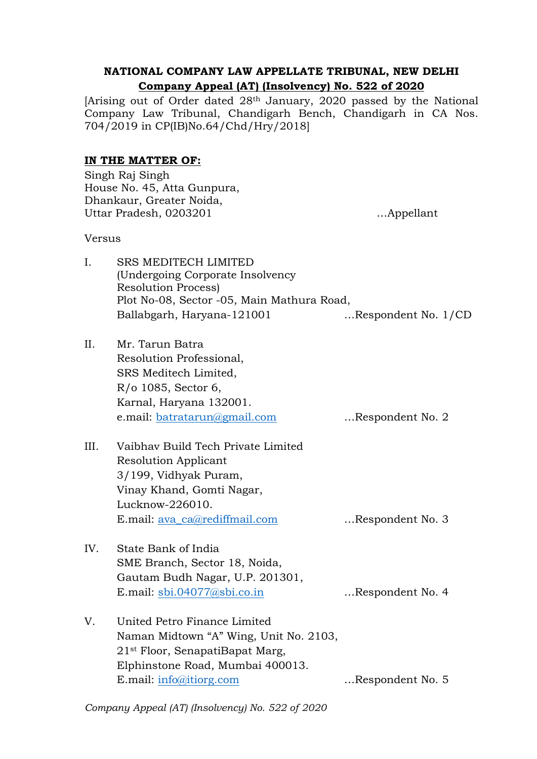# **NATIONAL COMPANY LAW APPELLATE TRIBUNAL, NEW DELHI Company Appeal (AT) (Insolvency) No. 522 of 2020**

[Arising out of Order dated 28th January, 2020 passed by the National Company Law Tribunal, Chandigarh Bench, Chandigarh in CA Nos. 704/2019 in CP(IB)No.64/Chd/Hry/2018]

## **IN THE MATTER OF:**

|               | Singh Raj Singh<br>House No. 45, Atta Gunpura,<br>Dhankaur, Greater Noida,<br>Uttar Pradesh, 0203201                                                                                 | Appellant           |
|---------------|--------------------------------------------------------------------------------------------------------------------------------------------------------------------------------------|---------------------|
| <b>Versus</b> |                                                                                                                                                                                      |                     |
| Ι.            | <b>SRS MEDITECH LIMITED</b><br>(Undergoing Corporate Insolvency)<br><b>Resolution Process)</b><br>Plot No-08, Sector -05, Main Mathura Road,<br>Ballabgarh, Haryana-121001           | Respondent No. 1/CD |
| II.           | Mr. Tarun Batra<br>Resolution Professional,<br>SRS Meditech Limited,<br>$R$ / $\sigma$ 1085, Sector 6,<br>Karnal, Haryana 132001.<br>e.mail: batratarun@gmail.com                    | Respondent No. 2    |
| III.          | Vaibhay Build Tech Private Limited<br><b>Resolution Applicant</b><br>3/199, Vidhyak Puram,<br>Vinay Khand, Gomti Nagar,<br>Lucknow-226010.<br>E.mail: ava_ca@rediffmail.com          | Respondent No. 3    |
| IV.           | State Bank of India<br>SME Branch, Sector 18, Noida,<br>Gautam Budh Nagar, U.P. 201301,<br>E.mail: sbi.04077@sbi.co.in                                                               | Respondent No. 4    |
| V.            | United Petro Finance Limited<br>Naman Midtown "A" Wing, Unit No. 2103,<br>21 <sup>st</sup> Floor, SenapatiBapat Marg,<br>Elphinstone Road, Mumbai 400013.<br>E.mail: info@itiorg.com | Respondent No. 5    |

*Company Appeal (AT) (Insolvency) No. 522 of 2020*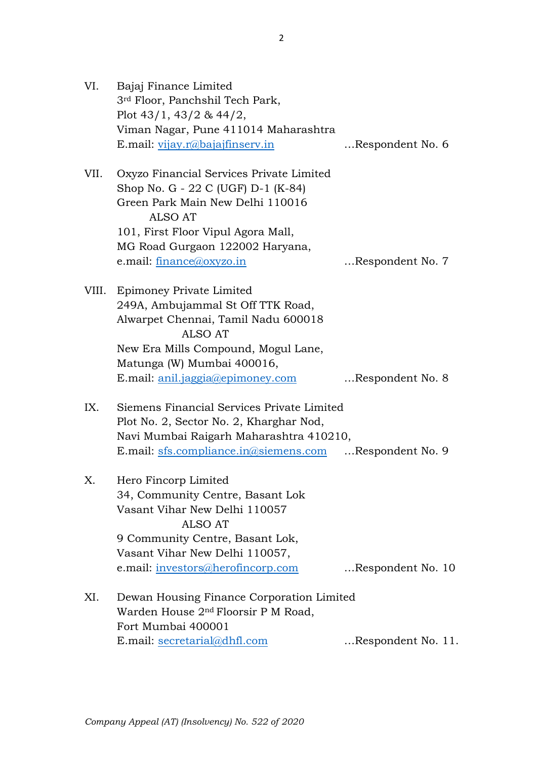| VI.  | Bajaj Finance Limited<br>3 <sup>rd</sup> Floor, Panchshil Tech Park,<br>Plot $43/1$ , $43/2$ & $44/2$ ,<br>Viman Nagar, Pune 411014 Maharashtra                                                                                    |                    |  |
|------|------------------------------------------------------------------------------------------------------------------------------------------------------------------------------------------------------------------------------------|--------------------|--|
|      | E.mail: vijay.r@bajajfinserv.in                                                                                                                                                                                                    | Respondent No. 6   |  |
| VII. | Oxyzo Financial Services Private Limited<br>Shop No. G - 22 C (UGF) D-1 (K-84)<br>Green Park Main New Delhi 110016<br>ALSO AT<br>101, First Floor Vipul Agora Mall,<br>MG Road Gurgaon 122002 Haryana,<br>e.mail: finance@oxyzo.in | Respondent No. 7   |  |
|      | VIII. Epimoney Private Limited<br>249A, Ambujammal St Off TTK Road,<br>Alwarpet Chennai, Tamil Nadu 600018<br><b>ALSO AT</b><br>New Era Mills Compound, Mogul Lane,<br>Matunga (W) Mumbai 400016,                                  |                    |  |
|      | E.mail: anil.jaggia@epimoney.com                                                                                                                                                                                                   | Respondent No. 8   |  |
| IX.  | Siemens Financial Services Private Limited<br>Plot No. 2, Sector No. 2, Kharghar Nod,<br>Navi Mumbai Raigarh Maharashtra 410210,<br>E.mail: sfs.compliance.in@siemens.com                                                          | Respondent No. 9   |  |
| Х.   | Hero Fincorp Limited<br>34, Community Centre, Basant Lok<br>Vasant Vihar New Delhi 110057<br>ALSO AT<br>9 Community Centre, Basant Lok,<br>Vasant Vihar New Delhi 110057,<br>e.mail: investors@herofincorp.com                     | Respondent No. 10  |  |
|      |                                                                                                                                                                                                                                    |                    |  |
| XI.  | Dewan Housing Finance Corporation Limited<br>Warden House 2 <sup>nd</sup> Floorsir P M Road,<br>Fort Mumbai 400001                                                                                                                 |                    |  |
|      | E.mail: secretarial@dhfl.com                                                                                                                                                                                                       | Respondent No. 11. |  |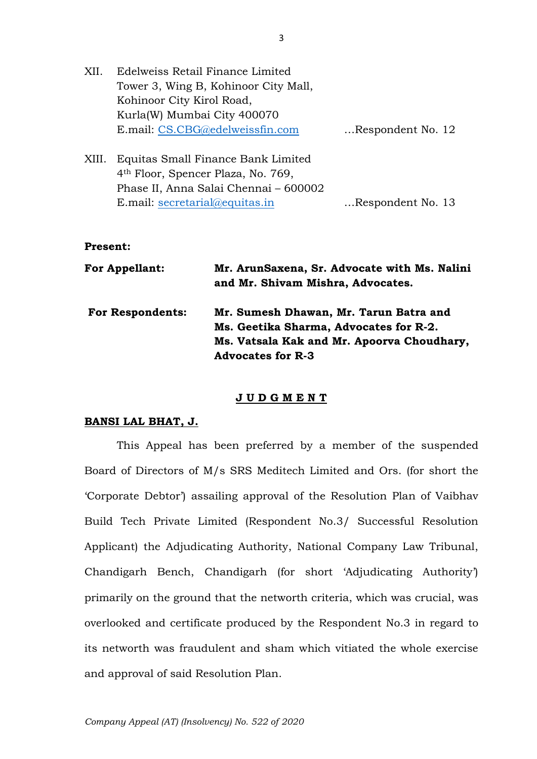| XII.  | Edelweiss Retail Finance Limited                                                     |                   |
|-------|--------------------------------------------------------------------------------------|-------------------|
|       | Tower 3, Wing B, Kohinoor City Mall,                                                 |                   |
|       | Kohinoor City Kirol Road,                                                            |                   |
|       | Kurla(W) Mumbai City 400070                                                          |                   |
|       | E.mail: CS.CBG@edelweissfin.com                                                      | Respondent No. 12 |
| XIII. | Equitas Small Finance Bank Limited<br>4 <sup>th</sup> Floor, Spencer Plaza, No. 769, |                   |
|       | Phase II, Anna Salai Chennai - 600002                                                |                   |

#### **Present:**

| <b>For Appellant:</b>   | Mr. ArunSaxena, Sr. Advocate with Ms. Nalini<br>and Mr. Shivam Mishra, Advocates. |
|-------------------------|-----------------------------------------------------------------------------------|
| <b>For Respondents:</b> | Mr. Sumesh Dhawan, Mr. Tarun Batra and                                            |
|                         | Ms. Geetika Sharma, Advocates for R-2.                                            |
|                         | Ms. Vatsala Kak and Mr. Apoorva Choudhary,                                        |
|                         | <b>Advocates for R-3</b>                                                          |

E.mail: [secretarial@equitas.in](mailto:secretarial@equitas.in) …Respondent No. 13

#### **J U D G M E N T**

### **BANSI LAL BHAT, J.**

This Appeal has been preferred by a member of the suspended Board of Directors of M/s SRS Meditech Limited and Ors. (for short the 'Corporate Debtor') assailing approval of the Resolution Plan of Vaibhav Build Tech Private Limited (Respondent No.3/ Successful Resolution Applicant) the Adjudicating Authority, National Company Law Tribunal, Chandigarh Bench, Chandigarh (for short 'Adjudicating Authority') primarily on the ground that the networth criteria, which was crucial, was overlooked and certificate produced by the Respondent No.3 in regard to its networth was fraudulent and sham which vitiated the whole exercise and approval of said Resolution Plan.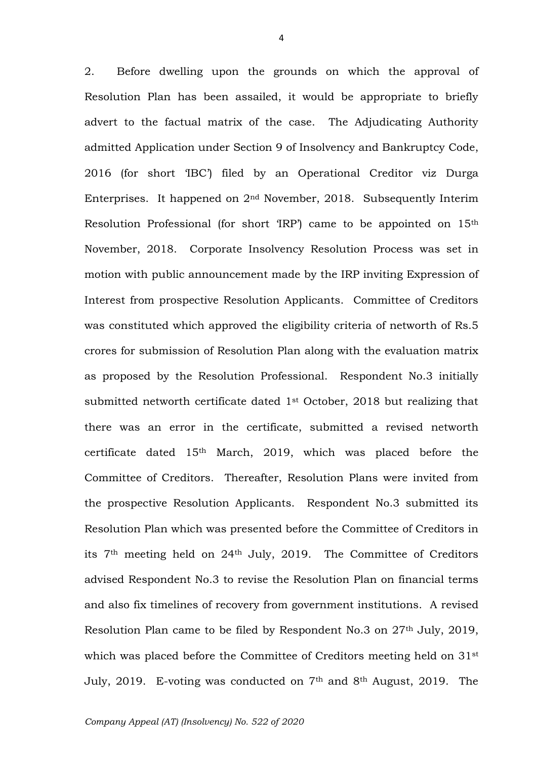2. Before dwelling upon the grounds on which the approval of Resolution Plan has been assailed, it would be appropriate to briefly advert to the factual matrix of the case. The Adjudicating Authority admitted Application under Section 9 of Insolvency and Bankruptcy Code, 2016 (for short 'IBC') filed by an Operational Creditor viz Durga Enterprises. It happened on 2nd November, 2018. Subsequently Interim Resolution Professional (for short 'IRP') came to be appointed on 15th November, 2018. Corporate Insolvency Resolution Process was set in motion with public announcement made by the IRP inviting Expression of Interest from prospective Resolution Applicants. Committee of Creditors was constituted which approved the eligibility criteria of networth of Rs.5 crores for submission of Resolution Plan along with the evaluation matrix as proposed by the Resolution Professional. Respondent No.3 initially submitted networth certificate dated 1st October, 2018 but realizing that there was an error in the certificate, submitted a revised networth certificate dated 15th March, 2019, which was placed before the Committee of Creditors. Thereafter, Resolution Plans were invited from the prospective Resolution Applicants. Respondent No.3 submitted its Resolution Plan which was presented before the Committee of Creditors in its 7th meeting held on 24th July, 2019. The Committee of Creditors advised Respondent No.3 to revise the Resolution Plan on financial terms and also fix timelines of recovery from government institutions. A revised Resolution Plan came to be filed by Respondent No.3 on 27th July, 2019, which was placed before the Committee of Creditors meeting held on 31<sup>st</sup> July, 2019. E-voting was conducted on 7th and 8th August, 2019. The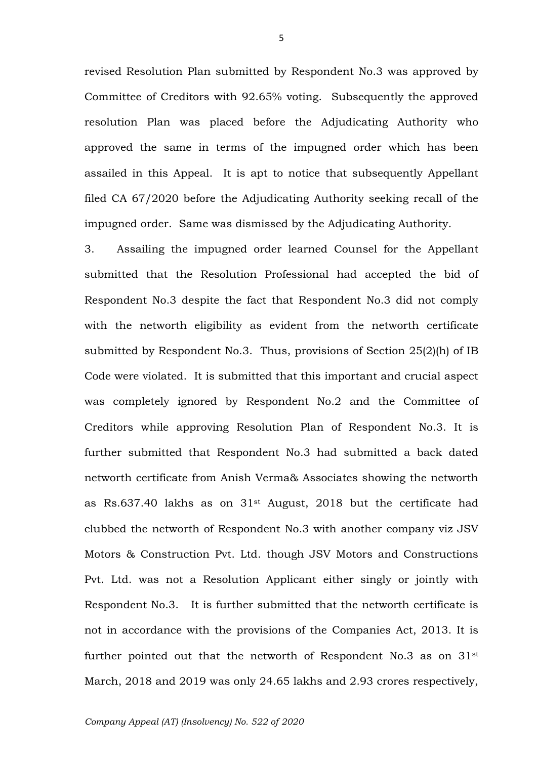revised Resolution Plan submitted by Respondent No.3 was approved by Committee of Creditors with 92.65% voting. Subsequently the approved resolution Plan was placed before the Adjudicating Authority who approved the same in terms of the impugned order which has been assailed in this Appeal. It is apt to notice that subsequently Appellant filed CA 67/2020 before the Adjudicating Authority seeking recall of the impugned order. Same was dismissed by the Adjudicating Authority.

3. Assailing the impugned order learned Counsel for the Appellant submitted that the Resolution Professional had accepted the bid of Respondent No.3 despite the fact that Respondent No.3 did not comply with the networth eligibility as evident from the networth certificate submitted by Respondent No.3. Thus, provisions of Section 25(2)(h) of IB Code were violated. It is submitted that this important and crucial aspect was completely ignored by Respondent No.2 and the Committee of Creditors while approving Resolution Plan of Respondent No.3. It is further submitted that Respondent No.3 had submitted a back dated networth certificate from Anish Verma& Associates showing the networth as Rs.637.40 lakhs as on 31st August, 2018 but the certificate had clubbed the networth of Respondent No.3 with another company viz JSV Motors & Construction Pvt. Ltd. though JSV Motors and Constructions Pvt. Ltd. was not a Resolution Applicant either singly or jointly with Respondent No.3. It is further submitted that the networth certificate is not in accordance with the provisions of the Companies Act, 2013. It is further pointed out that the networth of Respondent No.3 as on 31<sup>st</sup> March, 2018 and 2019 was only 24.65 lakhs and 2.93 crores respectively,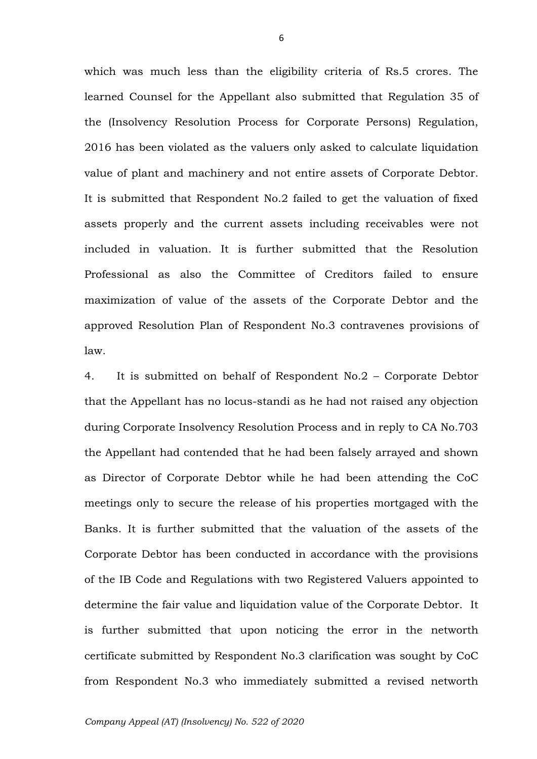which was much less than the eligibility criteria of Rs.5 crores. The learned Counsel for the Appellant also submitted that Regulation 35 of the (Insolvency Resolution Process for Corporate Persons) Regulation, 2016 has been violated as the valuers only asked to calculate liquidation value of plant and machinery and not entire assets of Corporate Debtor. It is submitted that Respondent No.2 failed to get the valuation of fixed assets properly and the current assets including receivables were not included in valuation. It is further submitted that the Resolution Professional as also the Committee of Creditors failed to ensure maximization of value of the assets of the Corporate Debtor and the approved Resolution Plan of Respondent No.3 contravenes provisions of law.

4. It is submitted on behalf of Respondent No.2 – Corporate Debtor that the Appellant has no locus-standi as he had not raised any objection during Corporate Insolvency Resolution Process and in reply to CA No.703 the Appellant had contended that he had been falsely arrayed and shown as Director of Corporate Debtor while he had been attending the CoC meetings only to secure the release of his properties mortgaged with the Banks. It is further submitted that the valuation of the assets of the Corporate Debtor has been conducted in accordance with the provisions of the IB Code and Regulations with two Registered Valuers appointed to determine the fair value and liquidation value of the Corporate Debtor. It is further submitted that upon noticing the error in the networth certificate submitted by Respondent No.3 clarification was sought by CoC from Respondent No.3 who immediately submitted a revised networth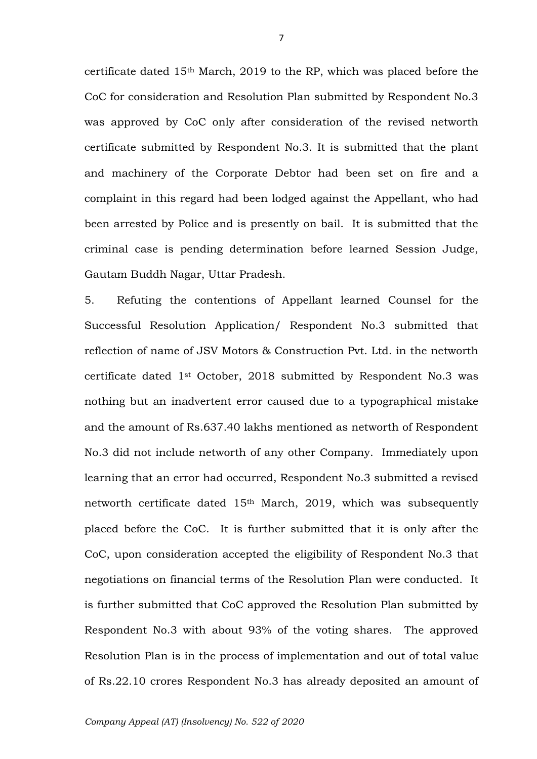certificate dated 15th March, 2019 to the RP, which was placed before the CoC for consideration and Resolution Plan submitted by Respondent No.3 was approved by CoC only after consideration of the revised networth certificate submitted by Respondent No.3. It is submitted that the plant and machinery of the Corporate Debtor had been set on fire and a complaint in this regard had been lodged against the Appellant, who had been arrested by Police and is presently on bail. It is submitted that the criminal case is pending determination before learned Session Judge, Gautam Buddh Nagar, Uttar Pradesh.

5. Refuting the contentions of Appellant learned Counsel for the Successful Resolution Application/ Respondent No.3 submitted that reflection of name of JSV Motors & Construction Pvt. Ltd. in the networth certificate dated 1st October, 2018 submitted by Respondent No.3 was nothing but an inadvertent error caused due to a typographical mistake and the amount of Rs.637.40 lakhs mentioned as networth of Respondent No.3 did not include networth of any other Company. Immediately upon learning that an error had occurred, Respondent No.3 submitted a revised networth certificate dated 15th March, 2019, which was subsequently placed before the CoC. It is further submitted that it is only after the CoC, upon consideration accepted the eligibility of Respondent No.3 that negotiations on financial terms of the Resolution Plan were conducted. It is further submitted that CoC approved the Resolution Plan submitted by Respondent No.3 with about 93% of the voting shares. The approved Resolution Plan is in the process of implementation and out of total value of Rs.22.10 crores Respondent No.3 has already deposited an amount of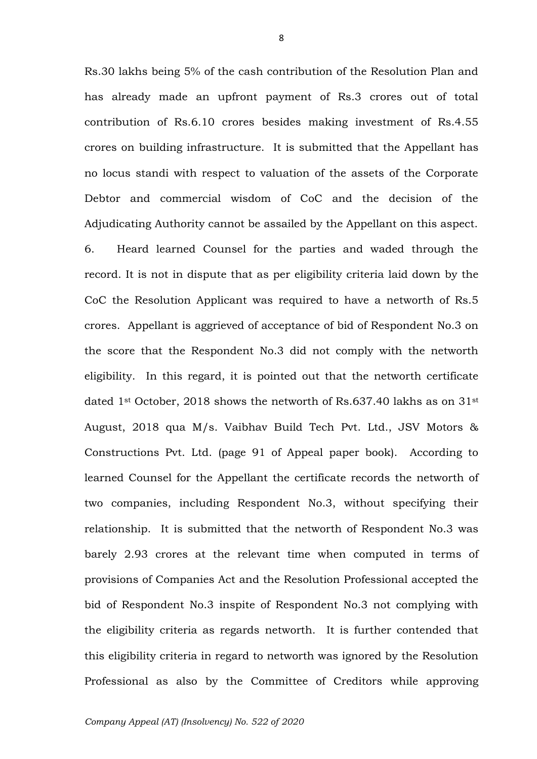Rs.30 lakhs being 5% of the cash contribution of the Resolution Plan and has already made an upfront payment of Rs.3 crores out of total contribution of Rs.6.10 crores besides making investment of Rs.4.55 crores on building infrastructure. It is submitted that the Appellant has no locus standi with respect to valuation of the assets of the Corporate Debtor and commercial wisdom of CoC and the decision of the Adjudicating Authority cannot be assailed by the Appellant on this aspect. 6. Heard learned Counsel for the parties and waded through the record. It is not in dispute that as per eligibility criteria laid down by the CoC the Resolution Applicant was required to have a networth of Rs.5 crores. Appellant is aggrieved of acceptance of bid of Respondent No.3 on the score that the Respondent No.3 did not comply with the networth eligibility. In this regard, it is pointed out that the networth certificate dated 1<sup>st</sup> October, 2018 shows the networth of Rs.637.40 lakhs as on  $31^{st}$ August, 2018 qua M/s. Vaibhav Build Tech Pvt. Ltd., JSV Motors & Constructions Pvt. Ltd. (page 91 of Appeal paper book). According to learned Counsel for the Appellant the certificate records the networth of two companies, including Respondent No.3, without specifying their relationship. It is submitted that the networth of Respondent No.3 was barely 2.93 crores at the relevant time when computed in terms of provisions of Companies Act and the Resolution Professional accepted the bid of Respondent No.3 inspite of Respondent No.3 not complying with the eligibility criteria as regards networth. It is further contended that this eligibility criteria in regard to networth was ignored by the Resolution Professional as also by the Committee of Creditors while approving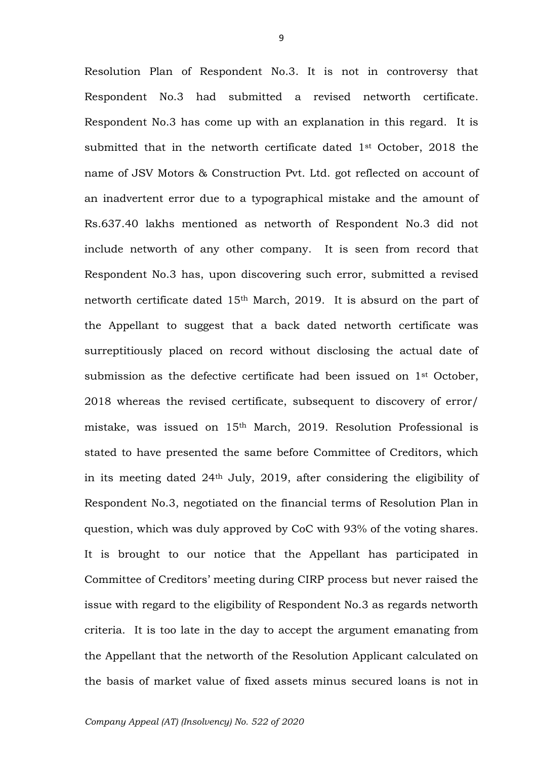Resolution Plan of Respondent No.3. It is not in controversy that Respondent No.3 had submitted a revised networth certificate. Respondent No.3 has come up with an explanation in this regard. It is submitted that in the networth certificate dated 1st October, 2018 the name of JSV Motors & Construction Pvt. Ltd. got reflected on account of an inadvertent error due to a typographical mistake and the amount of Rs.637.40 lakhs mentioned as networth of Respondent No.3 did not include networth of any other company. It is seen from record that Respondent No.3 has, upon discovering such error, submitted a revised networth certificate dated 15th March, 2019. It is absurd on the part of the Appellant to suggest that a back dated networth certificate was surreptitiously placed on record without disclosing the actual date of submission as the defective certificate had been issued on  $1<sup>st</sup>$  October, 2018 whereas the revised certificate, subsequent to discovery of error/ mistake, was issued on 15th March, 2019. Resolution Professional is stated to have presented the same before Committee of Creditors, which in its meeting dated 24th July, 2019, after considering the eligibility of Respondent No.3, negotiated on the financial terms of Resolution Plan in question, which was duly approved by CoC with 93% of the voting shares. It is brought to our notice that the Appellant has participated in Committee of Creditors' meeting during CIRP process but never raised the issue with regard to the eligibility of Respondent No.3 as regards networth criteria. It is too late in the day to accept the argument emanating from the Appellant that the networth of the Resolution Applicant calculated on the basis of market value of fixed assets minus secured loans is not in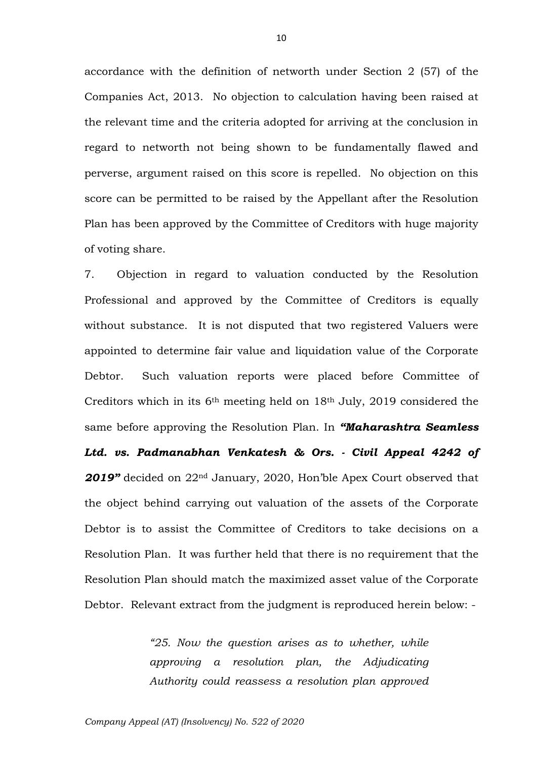accordance with the definition of networth under Section 2 (57) of the Companies Act, 2013. No objection to calculation having been raised at the relevant time and the criteria adopted for arriving at the conclusion in regard to networth not being shown to be fundamentally flawed and perverse, argument raised on this score is repelled. No objection on this score can be permitted to be raised by the Appellant after the Resolution Plan has been approved by the Committee of Creditors with huge majority of voting share.

7. Objection in regard to valuation conducted by the Resolution Professional and approved by the Committee of Creditors is equally without substance. It is not disputed that two registered Valuers were appointed to determine fair value and liquidation value of the Corporate Debtor. Such valuation reports were placed before Committee of Creditors which in its 6th meeting held on 18th July, 2019 considered the same before approving the Resolution Plan. In *"Maharashtra Seamless Ltd. vs. Padmanabhan Venkatesh & Ors. - Civil Appeal 4242 of*  2019<sup>*n*</sup> decided on 22<sup>nd</sup> January, 2020, Hon'ble Apex Court observed that the object behind carrying out valuation of the assets of the Corporate Debtor is to assist the Committee of Creditors to take decisions on a Resolution Plan. It was further held that there is no requirement that the Resolution Plan should match the maximized asset value of the Corporate Debtor. Relevant extract from the judgment is reproduced herein below: -

> *"25. Now the question arises as to whether, while approving a resolution plan, the Adjudicating Authority could reassess a resolution plan approved*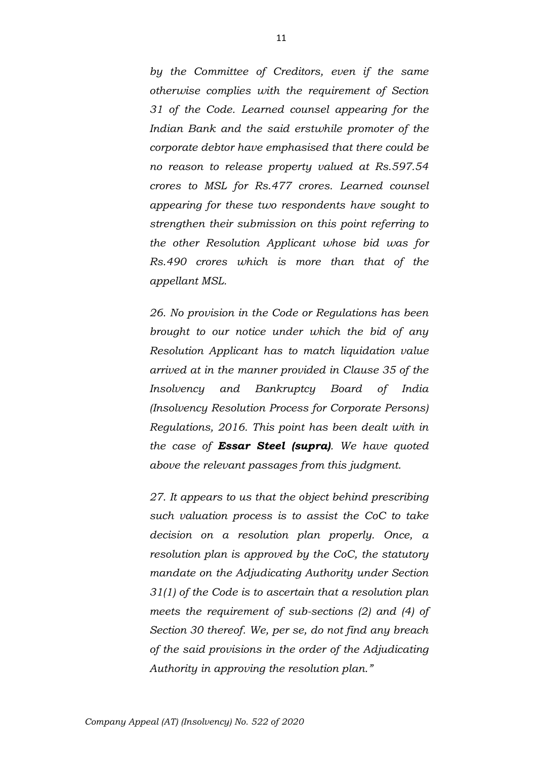*by the Committee of Creditors, even if the same otherwise complies with the requirement of Section 31 of the Code. Learned counsel appearing for the Indian Bank and the said erstwhile promoter of the corporate debtor have emphasised that there could be no reason to release property valued at Rs.597.54 crores to MSL for Rs.477 crores. Learned counsel appearing for these two respondents have sought to strengthen their submission on this point referring to the other Resolution Applicant whose bid was for Rs.490 crores which is more than that of the appellant MSL.*

*26. No provision in the Code or Regulations has been brought to our notice under which the bid of any Resolution Applicant has to match liquidation value arrived at in the manner provided in Clause 35 of the Insolvency and Bankruptcy Board of India (Insolvency Resolution Process for Corporate Persons) Regulations, 2016. This point has been dealt with in the case of Essar Steel (supra). We have quoted above the relevant passages from this judgment.*

*27. It appears to us that the object behind prescribing such valuation process is to assist the CoC to take decision on a resolution plan properly. Once, a resolution plan is approved by the CoC, the statutory mandate on the Adjudicating Authority under Section 31(1) of the Code is to ascertain that a resolution plan meets the requirement of sub-sections (2) and (4) of Section 30 thereof. We, per se, do not find any breach of the said provisions in the order of the Adjudicating Authority in approving the resolution plan."*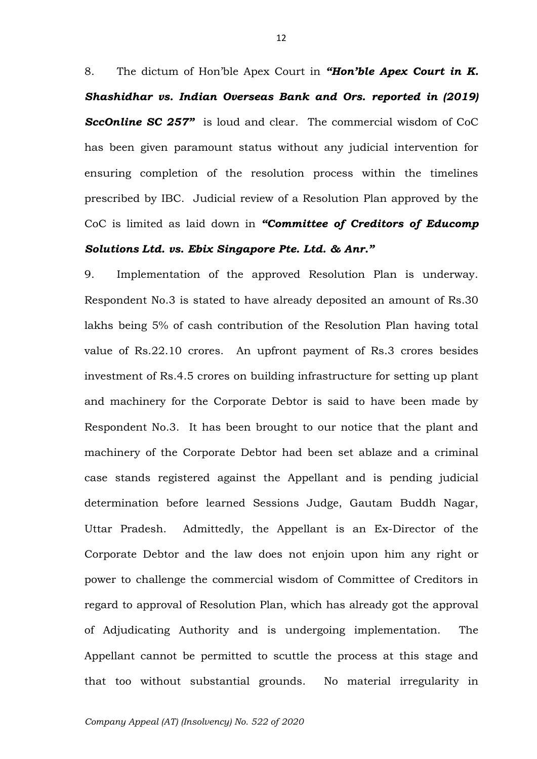8. The dictum of Hon'ble Apex Court in *"Hon'ble Apex Court in K. Shashidhar vs. Indian Overseas Bank and Ors. reported in (2019)*  **SccOnline SC 257"** is loud and clear. The commercial wisdom of CoC has been given paramount status without any judicial intervention for ensuring completion of the resolution process within the timelines prescribed by IBC. Judicial review of a Resolution Plan approved by the CoC is limited as laid down in *"Committee of Creditors of Educomp Solutions Ltd. vs. Ebix Singapore Pte. Ltd. & Anr."*

9. Implementation of the approved Resolution Plan is underway. Respondent No.3 is stated to have already deposited an amount of Rs.30 lakhs being 5% of cash contribution of the Resolution Plan having total value of Rs.22.10 crores. An upfront payment of Rs.3 crores besides investment of Rs.4.5 crores on building infrastructure for setting up plant and machinery for the Corporate Debtor is said to have been made by Respondent No.3. It has been brought to our notice that the plant and machinery of the Corporate Debtor had been set ablaze and a criminal case stands registered against the Appellant and is pending judicial determination before learned Sessions Judge, Gautam Buddh Nagar, Uttar Pradesh. Admittedly, the Appellant is an Ex-Director of the Corporate Debtor and the law does not enjoin upon him any right or power to challenge the commercial wisdom of Committee of Creditors in regard to approval of Resolution Plan, which has already got the approval of Adjudicating Authority and is undergoing implementation. The Appellant cannot be permitted to scuttle the process at this stage and that too without substantial grounds. No material irregularity in